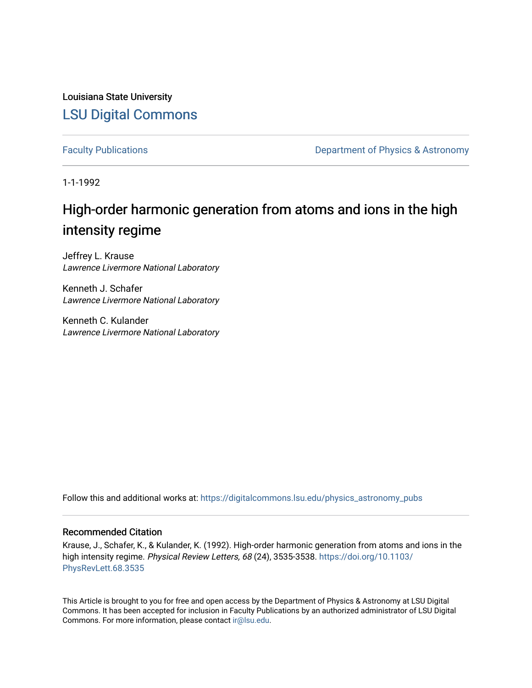Louisiana State University [LSU Digital Commons](https://digitalcommons.lsu.edu/)

[Faculty Publications](https://digitalcommons.lsu.edu/physics_astronomy_pubs) **Exercise 2 and Table 2 and Table 2 and Table 2 and Table 2 and Table 2 and Table 2 and Table 2 and Table 2 and Table 2 and Table 2 and Table 2 and Table 2 and Table 2 and Table 2 and Table 2 and Table** 

1-1-1992

## High-order harmonic generation from atoms and ions in the high intensity regime

Jeffrey L. Krause Lawrence Livermore National Laboratory

Kenneth J. Schafer Lawrence Livermore National Laboratory

Kenneth C. Kulander Lawrence Livermore National Laboratory

Follow this and additional works at: [https://digitalcommons.lsu.edu/physics\\_astronomy\\_pubs](https://digitalcommons.lsu.edu/physics_astronomy_pubs?utm_source=digitalcommons.lsu.edu%2Fphysics_astronomy_pubs%2F4952&utm_medium=PDF&utm_campaign=PDFCoverPages) 

## Recommended Citation

Krause, J., Schafer, K., & Kulander, K. (1992). High-order harmonic generation from atoms and ions in the high intensity regime. Physical Review Letters, 68 (24), 3535-3538. [https://doi.org/10.1103/](https://doi.org/10.1103/PhysRevLett.68.3535) [PhysRevLett.68.3535](https://doi.org/10.1103/PhysRevLett.68.3535)

This Article is brought to you for free and open access by the Department of Physics & Astronomy at LSU Digital Commons. It has been accepted for inclusion in Faculty Publications by an authorized administrator of LSU Digital Commons. For more information, please contact [ir@lsu.edu](mailto:ir@lsu.edu).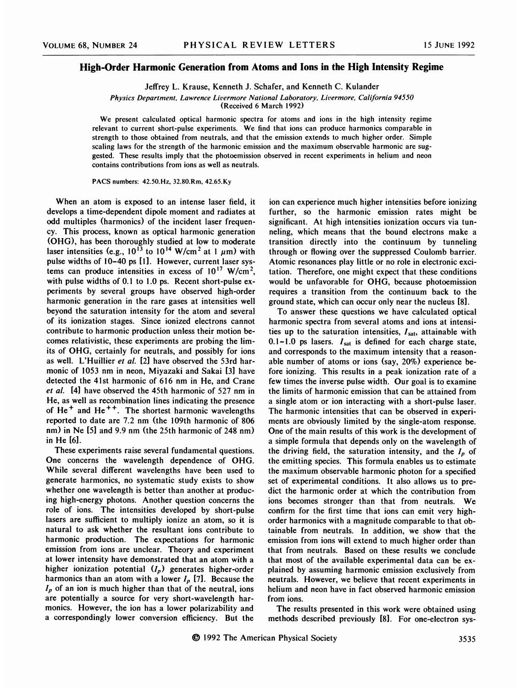## High-Order Harmonic Generation from Atoms and Ions in the High Intensity Regime

Jeffrey L. Krause, Kenneth J. Schafer, and Kenneth C. Kulander

Physics Department, Lawrence Livermore National Laboratory, Livermore, California 94550

(Received 6 March l992}

We present calculated optical harmonic spectra for atoms and ions in the high intensity regime relevant to current short-pulse experiments. We find that ions can produce harmonics comparable in strength to those obtained from neutrals, and that the emission extends to much higher order. Simple scaling laws for the strength of the harmonic emission and the maximum observable harmonic are suggested. These results imply that the photoemission observed in recent experiments in helium and neon contains contributions from ions as well as neutrals.

PACS numbers: 42.50.Hz, 32.80.Rm, 42.65.Ky

When an atom is exposed to an intense laser field, it develops a time-dependent dipole moment and radiates at odd multiples (harmonics) of the incident laser frequency. This process, known as optical harmonic generation (OHG), has been thoroughly studied at low to moderate laser intensities (e.g.,  $10^{13}$  to  $10^{14}$  W/cm<sup>2</sup> at 1  $\mu$ m) with pulse widths of 10-40 ps [1]. However, current laser systems can produce intensities in excess of  $10^{17}$  W/cm<sup>2</sup>, with pulse widths of 0.1 to 1.0 ps. Recent short-pulse experiments by several groups have observed high-order harmonic generation in the rare gases at intensities well beyond the saturation intensity for the atom and several of its ionization stages. Since ionized electrons cannot contribute to harmonic production unless their motion becomes relativistic, these experiments are probing the limits of OHG, certainly for neutrals, and possibly for ions as well. L'Huillier et al. [2] have observed the 53rd harmonic of 1053 nm in neon, Miyazaki and Sakai [3] have detected the 41st harmonic of 616 nm in He, and Crane et al. [4] have observed the 45th harmonic of 527 nm in He, as well as recombination lines indicating the presence of  $He<sup>+</sup>$  and  $He<sup>++</sup>$ . The shortest harmonic wavelengths reported to date are 7.2 nm (the 109th harmonic of 806 nm) in Ne [5] and 9.9 nm (the 25th harmonic of 248 nm) in He [6].

These experiments raise several fundamental questions. One concerns the wavelength dependence of OHG. While several different wavelengths have been used to generate harmonics, no systematic study exists to show whether one wavelength is better than another at producing high-energy photons. Another question concerns the role of ions. The intensities developed by short-pulse lasers are sufficient to multiply ionize an atom, so it is natural to ask whether the resultant ions contribute to harmonic production. The expectations for harmonic emission from ions are unclear. Theory and experiment at lower intensity have demonstrated that an atom with a higher ionization potential  $(I_p)$  generates higher-order harmonics than an atom with a lower  $I_p$  [7]. Because the  $I_p$  of an ion is much higher than that of the neutral, ions are potentially a source for very short-wavelength harmonics. However, the ion has a lower polarizability and a correspondingly lower conversion efficiency. But the

ion can experience much higher intensities before ionizing further, so the harmonic emission rates might be significant. At high intensities ionization occurs via tunneling, which means that the bound electrons make a transition directly into the continuum by tunneling through or flowing over the suppressed Coulomb barrier. Atomic resonances play little or no role in electronic excitation. Therefore, one might expect that these conditions would be unfavorable for QHG, because photoemission requires a transition from the continuum back to the ground state, which can occur only near the nucleus [8].

To answer these questions we have calculated optical harmonic spectra from several atoms and ions at intensities up to the saturation intensities,  $I_{sat}$ , attainable with 0.1-1.0 ps lasers.  $I_{sat}$  is defined for each charge state and corresponds to the maximum intensity that a reasonable number of atoms or ions (say, 20%) experience before ionizing. This results in a peak ionization rate of a few times the inverse pulse width. Our goal is to examine the limits of harmonic emission that can be attained from a single atom or ion interacting with a short-pulse laser. The harmonic intensities that can be observed in experiments are obviously limited by the single-atom response. One of the main results of this work is the development of a simple formula that depends only on the wavelength of the driving field, the saturation intensity, and the  $I_p$  of the emitting species. This formula enables us to estimate the maximum observable harmonic photon for a specified set of experimental conditions. It also allows us to predict the harmonic order at which the contribution from ions becomes stronger than that from neutrals. We confirm for the first time that ions can emit very highorder harmonics with a magnitude comparable to that obtainable from neutrals. In addition, we show that the emission from ions will extend to much higher order than that from neutrals. Based on these results we conclude that most of the available experimental data can be explained by assuming harmonic emission exclusively from neutrals. However, we believe that recent experiments in helium and neon have in fact observed harmonic emission from ions.

The results presented in this work were obtained using methods described previously [8]. For one-electron sys-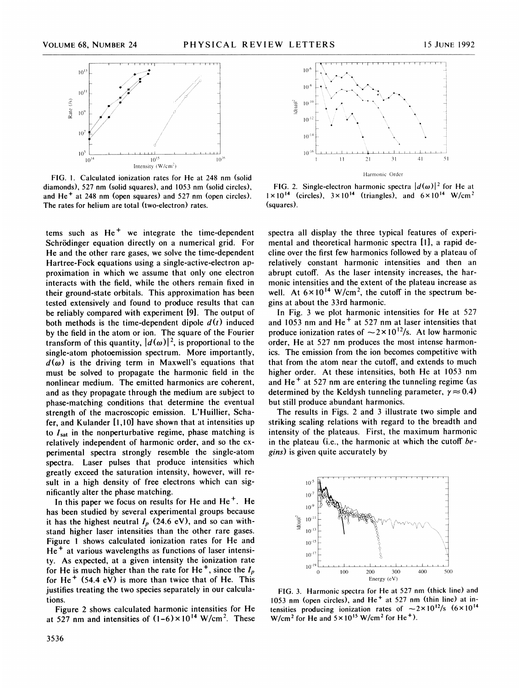

FIG. 1. Calculated ionization rates for He at 248 nm (solid diamonds), 527 nm (solid squares), and 1053 nm (solid circles), and He<sup>+</sup> at 248 nm (open squares) and 527 nm (open circles). The rates for helium are total (two-electron) rates.

tems such as  $He<sup>+</sup>$  we integrate the time-dependent Schrödinger equation directly on a numerical grid. For He and the other rare gases, we solve the time-dependent Hartree-Fock equations using a single-active-electron approximation in which we assume that only one electron interacts with the field, while the others remain fixed in their ground-state orbitals. This approximation has been tested extensively and found to produce results that can be reliably compared with experiment [9]. The output of both methods is the time-dependent dipole  $d(t)$  induced by the field in the atom or ion. The square of the Fourier transform of this quantity,  $|d(\omega)|^2$ , is proportional to the single-atom photoemission spectrum. More importantly,  $d(\omega)$  is the driving term in Maxwell's equations that must be solved to propagate the harmonic field in the nonlinear medium. The emitted harmonics are coherent, and as they propagate through the medium are subject to phase-matching conditions that determine the eventual strength of the macroscopic emission. L'Huillier, Schafer, and Kulander [1,10] have shown that at intensities up to  $I_{\text{sat}}$  in the nonperturbative regime, phase matching is relatively independent of harmonic order, and so the experimental spectra strongly resemble the single-atom spectra. Laser pulses that produce intensities which greatly exceed the saturation intensity, however, will result in a high density of free electrons which can significantly alter the phase matching.

In this paper we focus on results for He and  $He<sup>+</sup>$ . He has been studied by several experimental groups because it has the highest neutral  $I_p$  (24.6 eV), and so can withstand higher laser intensities than the other rare gases. Figure <sup>1</sup> shows calculated ionization rates for He and He<sup>+</sup> at various wavelengths as functions of laser intensity. As expected, at a given intensity the ionization rate for He is much higher than the rate for He<sup>+</sup>, since the  $I_p$ for He<sup>+</sup> (54.4 eV) is more than twice that of He. This justifies treating the two species separately in our calculations.

Figure 2 shows calculated harmonic intensities for He at 527 nm and intensities of  $(1-6) \times 10^{14}$  W/cm<sup>2</sup>. These



FIG. 2. Single-electron harmonic spectra  $|d(\omega)|^2$  for He at  $1 \times 10^{14}$  (circles),  $3 \times 10^{14}$  (triangles), and  $6 \times 10^{14}$  W/cm<sup>2</sup> (squares).

spectra all display the three typical features of experimental and theoretical harmonic spectra [1], a rapid decline over the first few harmonics followed by a plateau of relatively constant harmonic intensities and then an abrupt cutoff. As the laser intensity increases, the harmonic intensities and the extent of the plateau increase as well. At  $6 \times 10^{14}$  W/cm<sup>2</sup>, the cutoff in the spectrum begins at about the 33rd harmonic.

In Fig. 3 we plot harmonic intensities for He at 527 and 1053 nm and  $He<sup>+</sup>$  at 527 nm at laser intensities that produce ionization rates of  $\sim$  2×10<sup>12</sup>/s. At low harmonic order, He at 527 nm produces the most intense harmonics. The emission from the ion becomes competitive with that from the atom near the cutoff, and extends to much higher order. At these intensities, both He at 1053 nm and He<sup>+</sup> at 527 nm are entering the tunneling regime (as determined by the Keldysh tunneling parameter,  $\gamma \approx 0.4$ ) but still produce abundant harmonics.

The results in Figs. 2 and 3 illustrate two simple and striking scaling relations with regard to the breadth and intensity of the plateaus. First, the maximum harmonic in the plateau (i.e., the harmonic at which the cutoff  $be$ gins) is given quite accurately by



FIG. 3. Harmonic spectra for He at 527 nm (thick line) and 1053 nm (open circles), and He<sup>+</sup> at 527 nm (thin line) at intensities producing ionization rates of  $\sim 2 \times 10^{12} / s$  (6×10<sup>14</sup>) W/cm<sup>2</sup> for He and  $5 \times 10^{15}$  W/cm<sup>2</sup> for He<sup>+</sup>).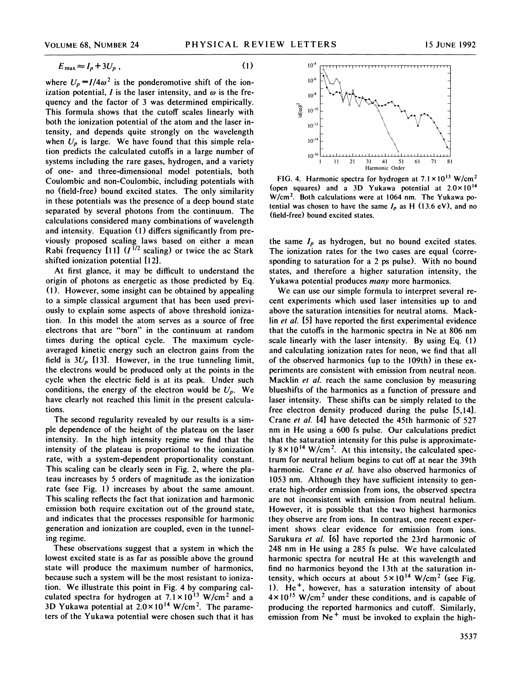$(1)$ 

$$
E_{\text{max}} \approx I_p + 3U_p ,
$$

where  $U_p = I/4\omega^2$  is the ponderomotive shift of the ionization potential, I is the laser intensity, and  $\omega$  is the frequency and the factor of 3 was determined empirically. This formula shows that the cutoff scales linearly with both the ionization potential of the atom and the laser intensity, and depends quite strongly on the wavelength when  $U_p$  is large. We have found that this simple relation predicts the calculated cutoffs in a large number of systems including the rare gases, hydrogen, and a variety of one- and three-dimensional model potentials, both Coulombic and non-Coulombic, including potentials with no (field-free) bound excited states. The only similarity in these potentials was the presence of a deep bound state separated by several photons from the continuum. The calculations considered many combinations of wavelength and intensity. Equation (1) differs significantly from previously proposed scaling laws based on either a mean Rabi frequency  $[11]$   $(I^{1/2}$  scaling) or twice the ac Stark shifted ionization potential [12].

At first glance, it may be difficult to understand the origin of photons as energetic as those predicted by Eq. (1). However, some insight can be obtained by appealing to a simple classical argument that has been used previously to explain some aspects of above threshold ionization. In this model the atom serves as a source of free electrons that are "born" in the continuum at random times during the optical cycle. The maximum cycleaveraged kinetic energy such an electron gains from the field is  $3U_p$  [13]. However, in the true tunneling limit, the electrons would be produced only at the points in the cycle when the electric field is at its peak. Under such conditions, the energy of the electron would be  $U_n$ . We have clearly not reached this limit in the present calculations.

The second regularity revealed by our results is a simple dependence of the height of the plateau on the laser intensity. In the high intensity regime we find that the intensity of the plateau is proportional to the ionization rate, with a system-dependent proportionality constant. This scaling can be clearly seen in Fig. 2, where the plateau increases by 5 orders of magnitude as the ionization rate (see Fig. 1) increases by about the same amount. This scaling reflects the fact that ionization and harmonic emission both require excitation out of the ground state, and indicates that the processes responsible for harmonic generation and ionization are coupled, even in the tunneling regime.

These observations suggest that a system in which the lowest excited state is as far as possible above the ground state will produce the maximum number of harmonics, because such a system will be the most resistant to ionization. We illustrate this point in Fig. 4 by comparing calculated spectra for hydrogen at  $7.1 \times 10^{13}$  W/cm<sup>2</sup> and a 3D Yukawa potential at  $2.0 \times 10^{14}$  W/cm<sup>2</sup>. The parameters of the Yukawa potential were chosen such that it has



FIG. 4. Harmonic spectra for hydrogen at  $7.1 \times 10^{13}$  W/cm<sup>2</sup> (open squares) and a 3D Yukawa potential at  $2.0 \times 10^{14}$ W/cm2. Both calculations were at 1064 nm. The Yukawa potential was chosen to have the same  $I_p$  as H (13.6 eV), and no (field-free) bound excited states.

the same  $I_p$  as hydrogen, but no bound excited states. The ionization rates for the two cases are equal (corresponding to saturation for a 2 ps pulse). With no bound states, and therefore a higher saturation intensity, the Yukawa potential produces many more harmonics.

We can use our simple formula to interpret several recent experiments which used laser intensities up to and above the saturation intensities for neutral atoms. Macklin et al. [5] have reported the first experimental evidence that the cutoffs in the harmonic spectra in Ne at 806 nm scale linearly with the laser intensity. By using Eq. (1) and calculating ionization rates for neon, we find that all of the observed harmonics (up to the 109th) in these experiments are consistent with emission from neutral neon. Macklin *et al.* reach the same conclusion by measuring blueshifts of the harmonics as a function of pressure and laser intensity. These shifts can be simply related to the free electron density produced during the pulse [5,14]. Crane et al. [4] have detected the 45th harmonic of 527 nm in He using a 600 fs pulse. Our calculations predict that the saturation intensity for this pulse is approximately  $8 \times 10^{14}$  W/cm<sup>2</sup>. At this intensity, the calculated spectrum for neutral helium begins to cut off at near the 39th harmonic. Crane et al. have also observed harmonics of 1053 nm. Although they have sufficient intensity to generate high-order emission from ions, the observed spectra are not inconsistent with emission from neutral helium. However, it is possible that the two highest harmonics they observe are from ions. In contrast, one recent experiment shows clear evidence for emission from ions. Sarukura et al. [6] have reported the 23rd harmonic of 248 nm in He using a 285 fs pulse. We have calculated harmonic spectra for neutral He at this wavelength and find no harmonics beyond the 13th at the saturation intensity, which occurs at about  $5 \times 10^{14}$  W/cm<sup>2</sup> (see Fig. 1).  $He<sup>+</sup>$ , however, has a saturation intensity of about  $4 \times 10^{15}$  W/cm<sup>2</sup> under these conditions, and is capable of producing the reported harmonics and cutoff. Similarly, emission from  $Ne<sup>+</sup>$  must be invoked to explain the high